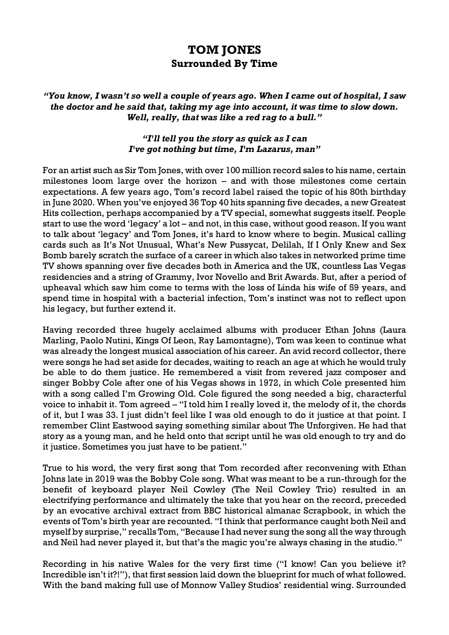## **TOM JONES Surrounded By Time**

*"You know, I wasn't so well a couple of years ago. When I came out of hospital, I saw the doctor and he said that, taking my age into account, it was time to slow down. Well, really, that was like a red rag to a bull."* 

## *"I'll tell you the story as quick as I can I've got nothing but time, I'm Lazarus, man"*

For an artist such as Sir Tom Jones, with over 100 million record sales to his name, certain milestones loom large over the horizon – and with those milestones come certain expectations. A few years ago, Tom's record label raised the topic of his 80th birthday in June 2020. When you've enjoyed 36 Top 40 hits spanning five decades, a new Greatest Hits collection, perhaps accompanied by a TV special, somewhat suggests itself. People start to use the word 'legacy' a lot – and not, in this case, without good reason. If you want to talk about 'legacy' and Tom Jones, it's hard to know where to begin. Musical calling cards such as It's Not Unusual, What's New Pussycat, Delilah, If I Only Knew and Sex Bomb barely scratch the surface of a career in which also takes in networked prime time TV shows spanning over five decades both in America and the UK, countless Las Vegas residencies and a string of Grammy, Ivor Novello and Brit Awards. But, after a period of upheaval which saw him come to terms with the loss of Linda his wife of 59 years, and spend time in hospital with a bacterial infection, Tom's instinct was not to reflect upon his legacy, but further extend it.

Having recorded three hugely acclaimed albums with producer Ethan Johns (Laura Marling, Paolo Nutini, Kings Of Leon, Ray Lamontagne), Tom was keen to continue what was already the longest musical association of his career. An avid record collector, there were songs he had set aside for decades, waiting to reach an age at which he would truly be able to do them justice. He remembered a visit from revered jazz composer and singer Bobby Cole after one of his Vegas shows in 1972, in which Cole presented him with a song called I'm Growing Old. Cole figured the song needed a big, characterful voice to inhabit it. Tom agreed – "I told him I really loved it, the melody of it, the chords of it, but I was 33. I just didn't feel like I was old enough to do it justice at that point. I remember Clint Eastwood saying something similar about The Unforgiven. He had that story as a young man, and he held onto that script until he was old enough to try and do it justice. Sometimes you just have to be patient."

True to his word, the very first song that Tom recorded after reconvening with Ethan Johns late in 2019 was the Bobby Cole song. What was meant to be a run-through for the benefit of keyboard player Neil Cowley (The Neil Cowley Trio) resulted in an electrifying performance and ultimately the take that you hear on the record, preceded by an evocative archival extract from BBC historical almanac Scrapbook, in which the events of Tom's birth year are recounted. "I think that performance caught both Neil and myself by surprise," recalls Tom, "Because I had never sung the song all the way through and Neil had never played it, but that's the magic you're always chasing in the studio."

Recording in his native Wales for the very first time ("I know! Can you believe it? Incredible isn't it?!"), that first session laid down the blueprint for much of what followed. With the band making full use of Monnow Valley Studios' residential wing. Surrounded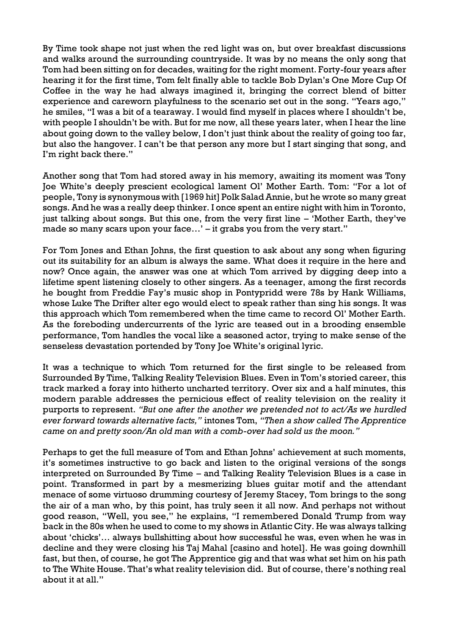By Time took shape not just when the red light was on, but over breakfast discussions and walks around the surrounding countryside. It was by no means the only song that Tom had been sitting on for decades, waiting for the right moment. Forty-four years after hearing it for the first time, Tom felt finally able to tackle Bob Dylan's One More Cup Of Coffee in the way he had always imagined it, bringing the correct blend of bitter experience and careworn playfulness to the scenario set out in the song. "Years ago," he smiles, "I was a bit of a tearaway. I would find myself in places where I shouldn't be, with people I shouldn't be with. But for me now, all these years later, when I hear the line about going down to the valley below, I don't just think about the reality of going too far, but also the hangover. I can't be that person any more but I start singing that song, and I'm right back there."

Another song that Tom had stored away in his memory, awaiting its moment was Tony Joe White's deeply prescient ecological lament Ol' Mother Earth. Tom: "For a lot of people, Tony is synonymous with [1969 hit] Polk Salad Annie, but he wrote so many great songs. And he was a really deep thinker. I once spent an entire night with him in Toronto, just talking about songs. But this one, from the very first line – 'Mother Earth, they've made so many scars upon your face…' – it grabs you from the very start."

For Tom Jones and Ethan Johns, the first question to ask about any song when figuring out its suitability for an album is always the same. What does it require in the here and now? Once again, the answer was one at which Tom arrived by digging deep into a lifetime spent listening closely to other singers. As a teenager, among the first records he bought from Freddie Fay's music shop in Pontypridd were 78s by Hank Williams, whose Luke The Drifter alter ego would elect to speak rather than sing his songs. It was this approach which Tom remembered when the time came to record Ol' Mother Earth. As the foreboding undercurrents of the lyric are teased out in a brooding ensemble performance, Tom handles the vocal like a seasoned actor, trying to make sense of the senseless devastation portended by Tony Joe White's original lyric.

It was a technique to which Tom returned for the first single to be released from Surrounded By Time, Talking Reality Television Blues. Even in Tom's storied career, this track marked a foray into hitherto uncharted territory. Over six and a half minutes, this modern parable addresses the pernicious effect of reality television on the reality it purports to represent. *"But one after the another we pretended not to act/As we hurdled ever forward towards alternative facts,"* intones Tom, *"Then a show called The Apprentice came on and pretty soon/An old man with a comb-over had sold us the moon."*

Perhaps to get the full measure of Tom and Ethan Johns' achievement at such moments, it's sometimes instructive to go back and listen to the original versions of the songs interpreted on Surrounded By Time – and Talking Reality Television Blues is a case in point. Transformed in part by a mesmerizing blues guitar motif and the attendant menace of some virtuoso drumming courtesy of Jeremy Stacey, Tom brings to the song the air of a man who, by this point, has truly seen it all now. And perhaps not without good reason, "Well, you see," he explains, "I remembered Donald Trump from way back in the 80s when he used to come to my shows in Atlantic City. He was always talking about 'chicks'… always bullshitting about how successful he was, even when he was in decline and they were closing his Taj Mahal [casino and hotel]. He was going downhill fast, but then, of course, he got The Apprentice gig and that was what set him on his path to The White House. That's what reality television did. But of course, there's nothing real about it at all."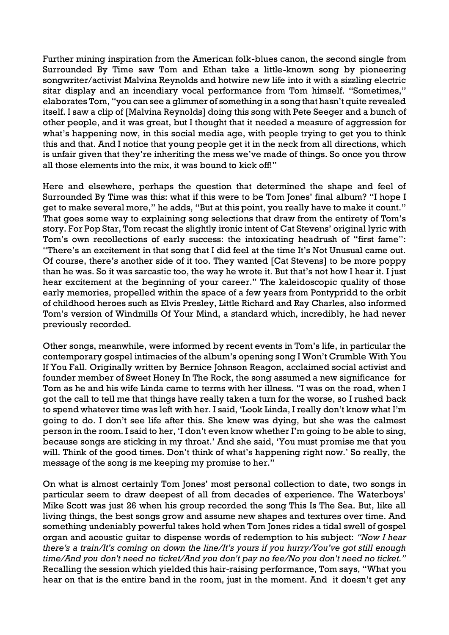Further mining inspiration from the American folk-blues canon, the second single from Surrounded By Time saw Tom and Ethan take a little-known song by pioneering songwriter/activist Malvina Reynolds and hotwire new life into it with a sizzling electric sitar display and an incendiary vocal performance from Tom himself. "Sometimes," elaborates Tom, "you can see a glimmer of something in a song that hasn't quite revealed itself. I saw a clip of [Malvina Reynolds] doing this song with Pete Seeger and a bunch of other people, and it was great, but I thought that it needed a measure of aggression for what's happening now, in this social media age, with people trying to get you to think this and that. And I notice that young people get it in the neck from all directions, which is unfair given that they're inheriting the mess we've made of things. So once you throw all those elements into the mix, it was bound to kick off!"

Here and elsewhere, perhaps the question that determined the shape and feel of Surrounded By Time was this: what if this were to be Tom Jones' final album? "I hope I get to make several more," he adds, "But at this point, you really have to make it count." That goes some way to explaining song selections that draw from the entirety of Tom's story. For Pop Star, Tom recast the slightly ironic intent of Cat Stevens' original lyric with Tom's own recollections of early success: the intoxicating headrush of "first fame": "There's an excitement in that song that I did feel at the time It's Not Unusual came out. Of course, there's another side of it too. They wanted [Cat Stevens] to be more poppy than he was. So it was sarcastic too, the way he wrote it. But that's not how I hear it. I just hear excitement at the beginning of your career." The kaleidoscopic quality of those early memories, propelled within the space of a few years from Pontypridd to the orbit of childhood heroes such as Elvis Presley, Little Richard and Ray Charles, also informed Tom's version of Windmills Of Your Mind, a standard which, incredibly, he had never previously recorded.

Other songs, meanwhile, were informed by recent events in Tom's life, in particular the contemporary gospel intimacies of the album's opening song I Won't Crumble With You If You Fall. Originally written by Bernice Johnson Reagon, acclaimed social activist and founder member of Sweet Honey In The Rock, the song assumed a new significance for Tom as he and his wife Linda came to terms with her illness. "I was on the road, when I got the call to tell me that things have really taken a turn for the worse, so I rushed back to spend whatever time was left with her. I said, 'Look Linda, I really don't know what I'm going to do. I don't see life after this. She knew was dying, but she was the calmest person in the room. I said to her, 'I don't even know whether I'm going to be able to sing, because songs are sticking in my throat.' And she said, 'You must promise me that you will. Think of the good times. Don't think of what's happening right now.' So really, the message of the song is me keeping my promise to her."

On what is almost certainly Tom Jones' most personal collection to date, two songs in particular seem to draw deepest of all from decades of experience. The Waterboys' Mike Scott was just 26 when his group recorded the song This Is The Sea. But, like all living things, the best songs grow and assume new shapes and textures over time. And something undeniably powerful takes hold when Tom Jones rides a tidal swell of gospel organ and acoustic guitar to dispense words of redemption to his subject: *"Now I hear there's a train/It's coming on down the line/It's yours if you hurry/You've got still enough time/And you don't need no ticket/And you don't pay no fee/No you don't need no ticket."*  Recalling the session which yielded this hair-raising performance, Tom says, "What you hear on that is the entire band in the room, just in the moment. And it doesn't get any